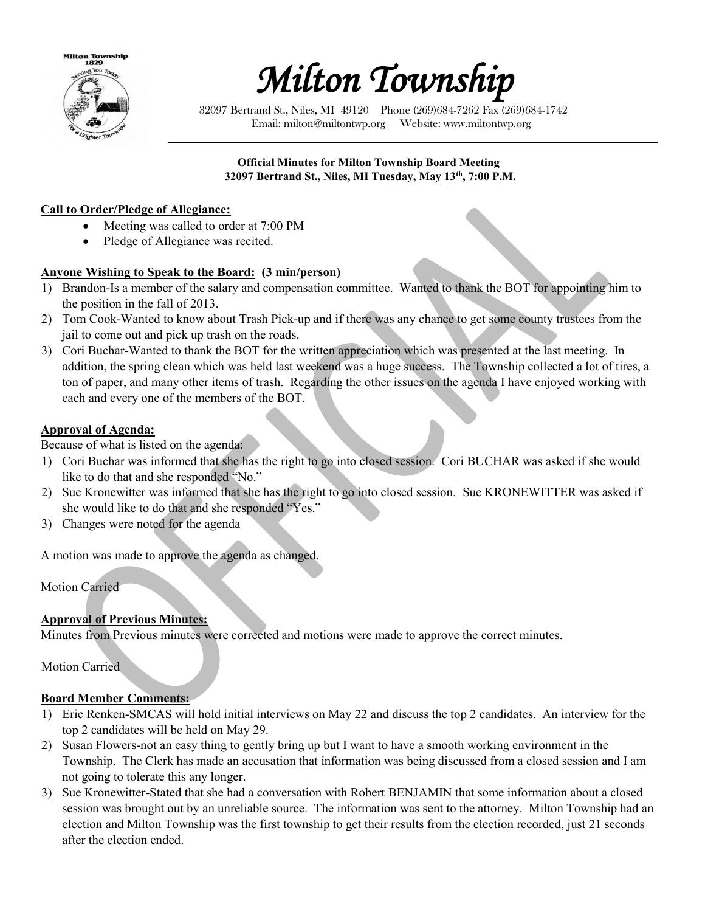



32097 Bertrand St., Niles, MI 49120 Phone (269)684-7262 Fax (269)684-1742 Email: milton@miltontwp.org Website: www.miltontwp.org

#### **Official Minutes for Milton Township Board Meeting 32097 Bertrand St., Niles, MI Tuesday, May 13th, 7:00 P.M.**

#### **Call to Order/Pledge of Allegiance:**

- Meeting was called to order at 7:00 PM
- Pledge of Allegiance was recited.

## **Anyone Wishing to Speak to the Board: (3 min/person)**

- 1) Brandon-Is a member of the salary and compensation committee. Wanted to thank the BOT for appointing him to the position in the fall of 2013.
- 2) Tom Cook-Wanted to know about Trash Pick-up and if there was any chance to get some county trustees from the jail to come out and pick up trash on the roads.
- 3) Cori Buchar-Wanted to thank the BOT for the written appreciation which was presented at the last meeting. In addition, the spring clean which was held last weekend was a huge success. The Township collected a lot of tires, a ton of paper, and many other items of trash. Regarding the other issues on the agenda I have enjoyed working with each and every one of the members of the BOT.

### **Approval of Agenda:**

Because of what is listed on the agenda:

- 1) Cori Buchar was informed that she has the right to go into closed session. Cori BUCHAR was asked if she would like to do that and she responded "No."
- 2) Sue Kronewitter was informed that she has the right to go into closed session. Sue KRONEWITTER was asked if she would like to do that and she responded "Yes."
- 3) Changes were noted for the agenda

A motion was made to approve the agenda as changed.

Motion Carried

### **Approval of Previous Minutes:**

Minutes from Previous minutes were corrected and motions were made to approve the correct minutes.

Motion Carried

#### **Board Member Comments:**

- 1) Eric Renken-SMCAS will hold initial interviews on May 22 and discuss the top 2 candidates. An interview for the top 2 candidates will be held on May 29.
- 2) Susan Flowers-not an easy thing to gently bring up but I want to have a smooth working environment in the Township. The Clerk has made an accusation that information was being discussed from a closed session and I am not going to tolerate this any longer.
- 3) Sue Kronewitter-Stated that she had a conversation with Robert BENJAMIN that some information about a closed session was brought out by an unreliable source. The information was sent to the attorney. Milton Township had an election and Milton Township was the first township to get their results from the election recorded, just 21 seconds after the election ended.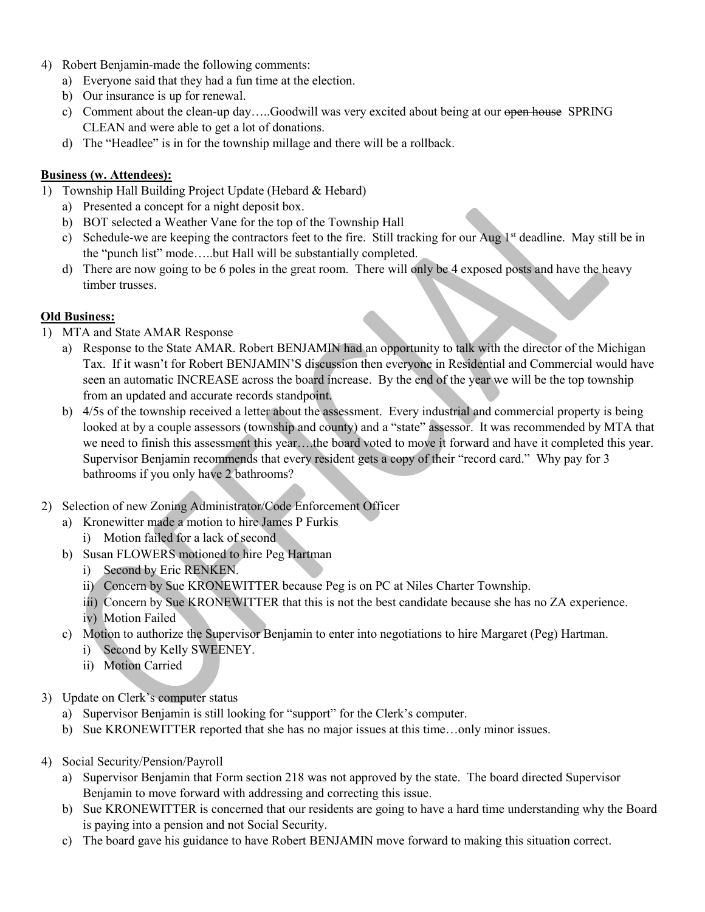- 4) Robert Benjamin-made the following comments:
	- a) Everyone said that they had a fun time at the election.
	- b) Our insurance is up for renewal.
	- c) Comment about the clean-up day.....Goodwill was very excited about being at our open house SPRING CLEAN and were able to get a lot of donations.
	- d) The "Headlee" is in for the township millage and there will be a rollback.

### **Business (w. Attendees):**

- 1) Township Hall Building Project Update (Hebard & Hebard)
	- a) Presented a concept for a night deposit box.
	- b) BOT selected a Weather Vane for the top of the Township Hall
	- c) Schedule-we are keeping the contractors feet to the fire. Still tracking for our Aug  $1<sup>st</sup>$  deadline. May still be in the "punch list" mode…..but Hall will be substantially completed.
	- d) There are now going to be 6 poles in the great room. There will only be 4 exposed posts and have the heavy timber trusses.

## **Old Business:**

- 1) MTA and State AMAR Response
	- a) Response to the State AMAR. Robert BENJAMIN had an opportunity to talk with the director of the Michigan Tax. If it wasn't for Robert BENJAMIN'S discussion then everyone in Residential and Commercial would have seen an automatic INCREASE across the board increase. By the end of the year we will be the top township from an updated and accurate records standpoint.
	- b) 4/5s of the township received a letter about the assessment. Every industrial and commercial property is being looked at by a couple assessors (township and county) and a "state" assessor. It was recommended by MTA that we need to finish this assessment this year….the board voted to move it forward and have it completed this year. Supervisor Benjamin recommends that every resident gets a copy of their "record card." Why pay for 3 bathrooms if you only have 2 bathrooms?
- 2) Selection of new Zoning Administrator/Code Enforcement Officer
	- a) Kronewitter made a motion to hire James P Furkis
		- i) Motion failed for a lack of second
	- b) Susan FLOWERS motioned to hire Peg Hartman
		- i) Second by Eric RENKEN.
		- ii) Concern by Sue KRONEWITTER because Peg is on PC at Niles Charter Township.
		- iii) Concern by Sue KRONEWITTER that this is not the best candidate because she has no ZA experience.
		- iv) Motion Failed
	- c) Motion to authorize the Supervisor Benjamin to enter into negotiations to hire Margaret (Peg) Hartman.
		- i) Second by Kelly SWEENEY.
		- ii) Motion Carried
- 3) Update on Clerk's computer status
	- a) Supervisor Benjamin is still looking for "support" for the Clerk's computer.
	- b) Sue KRONEWITTER reported that she has no major issues at this time…only minor issues.
- 4) Social Security/Pension/Payroll
	- a) Supervisor Benjamin that Form section 218 was not approved by the state. The board directed Supervisor Benjamin to move forward with addressing and correcting this issue.
	- b) Sue KRONEWITTER is concerned that our residents are going to have a hard time understanding why the Board is paying into a pension and not Social Security.
	- c) The board gave his guidance to have Robert BENJAMIN move forward to making this situation correct.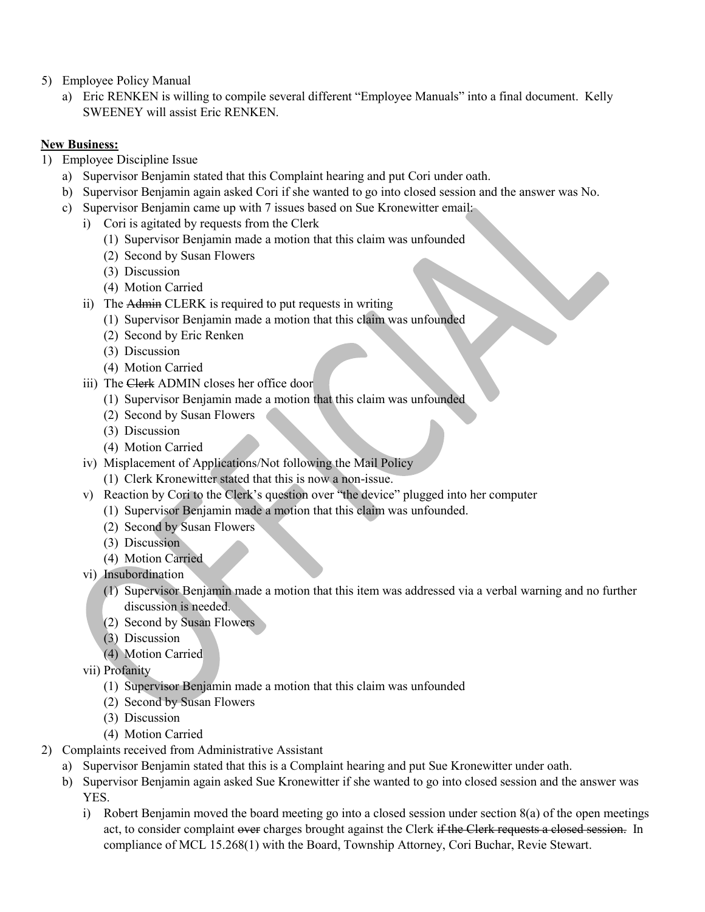- 5) Employee Policy Manual
	- a) Eric RENKEN is willing to compile several different "Employee Manuals" into a final document. Kelly SWEENEY will assist Eric RENKEN.

## **New Business:**

- 1) Employee Discipline Issue
	- a) Supervisor Benjamin stated that this Complaint hearing and put Cori under oath.
	- b) Supervisor Benjamin again asked Cori if she wanted to go into closed session and the answer was No.
	- c) Supervisor Benjamin came up with 7 issues based on Sue Kronewitter email:
		- i) Cori is agitated by requests from the Clerk
			- (1) Supervisor Benjamin made a motion that this claim was unfounded
			- (2) Second by Susan Flowers
			- (3) Discussion
			- (4) Motion Carried
		- ii) The Admin CLERK is required to put requests in writing
			- (1) Supervisor Benjamin made a motion that this claim was unfounded
			- (2) Second by Eric Renken
			- (3) Discussion
			- (4) Motion Carried
		- iii) The Clerk ADMIN closes her office door
			- (1) Supervisor Benjamin made a motion that this claim was unfounded
			- (2) Second by Susan Flowers
			- (3) Discussion
			- (4) Motion Carried
		- iv) Misplacement of Applications/Not following the Mail Policy
			- (1) Clerk Kronewitter stated that this is now a non-issue.
		- v) Reaction by Cori to the Clerk's question over "the device" plugged into her computer
			- (1) Supervisor Benjamin made a motion that this claim was unfounded.
			- (2) Second by Susan Flowers
			- (3) Discussion
			- (4) Motion Carried
		- vi) Insubordination
			- (1) Supervisor Benjamin made a motion that this item was addressed via a verbal warning and no further discussion is needed.
			- (2) Second by Susan Flowers
			- (3) Discussion
			- (4) Motion Carried
		- vii) Profanity
			- (1) Supervisor Benjamin made a motion that this claim was unfounded
			- (2) Second by Susan Flowers
			- (3) Discussion
			- (4) Motion Carried
- 2) Complaints received from Administrative Assistant
	- a) Supervisor Benjamin stated that this is a Complaint hearing and put Sue Kronewitter under oath.
	- b) Supervisor Benjamin again asked Sue Kronewitter if she wanted to go into closed session and the answer was YES.
		- i) Robert Benjamin moved the board meeting go into a closed session under section 8(a) of the open meetings act, to consider complaint over charges brought against the Clerk if the Clerk requests a closed session. In compliance of MCL 15.268(1) with the Board, Township Attorney, Cori Buchar, Revie Stewart.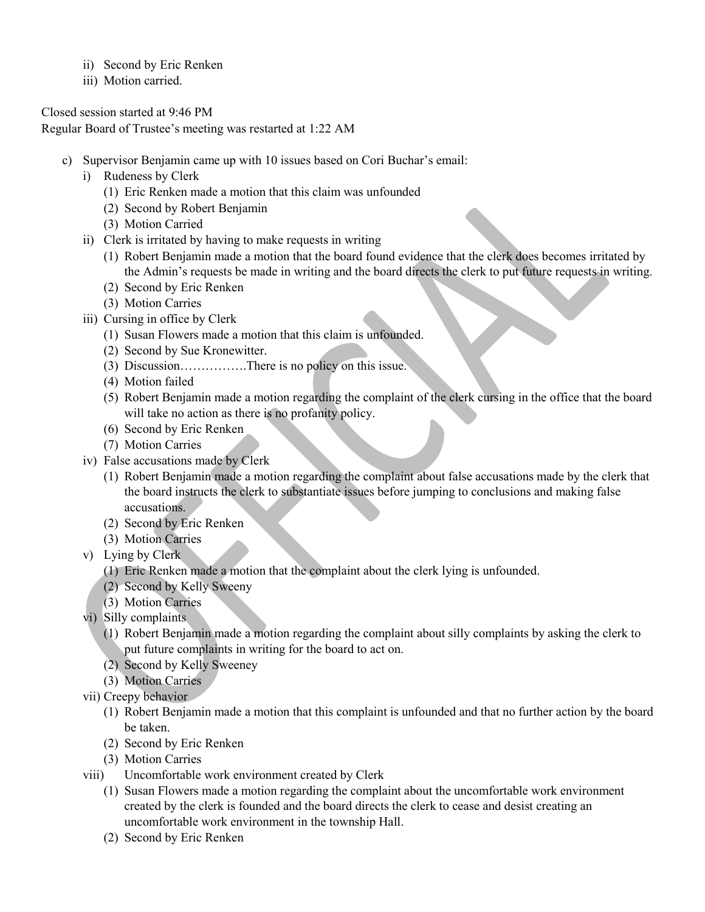- ii) Second by Eric Renken
- iii) Motion carried.

Closed session started at 9:46 PM

Regular Board of Trustee's meeting was restarted at 1:22 AM

- c) Supervisor Benjamin came up with 10 issues based on Cori Buchar's email:
	- i) Rudeness by Clerk
		- (1) Eric Renken made a motion that this claim was unfounded
		- (2) Second by Robert Benjamin
		- (3) Motion Carried
	- ii) Clerk is irritated by having to make requests in writing
		- (1) Robert Benjamin made a motion that the board found evidence that the clerk does becomes irritated by the Admin's requests be made in writing and the board directs the clerk to put future requests in writing.
		- (2) Second by Eric Renken
		- (3) Motion Carries
	- iii) Cursing in office by Clerk
		- (1) Susan Flowers made a motion that this claim is unfounded.
		- (2) Second by Sue Kronewitter.
		- (3) Discussion…………….There is no policy on this issue.
		- (4) Motion failed
		- (5) Robert Benjamin made a motion regarding the complaint of the clerk cursing in the office that the board will take no action as there is no profanity policy.
		- (6) Second by Eric Renken
		- (7) Motion Carries
	- iv) False accusations made by Clerk
		- (1) Robert Benjamin made a motion regarding the complaint about false accusations made by the clerk that the board instructs the clerk to substantiate issues before jumping to conclusions and making false accusations.
		- (2) Second by Eric Renken
		- (3) Motion Carries
	- v) Lying by Clerk
		- (1) Eric Renken made a motion that the complaint about the clerk lying is unfounded.
		- (2) Second by Kelly Sweeny
		- (3) Motion Carries
	- vi) Silly complaints
		- (1) Robert Benjamin made a motion regarding the complaint about silly complaints by asking the clerk to put future complaints in writing for the board to act on.
		- (2) Second by Kelly Sweeney
		- (3) Motion Carries
	- vii) Creepy behavior
		- (1) Robert Benjamin made a motion that this complaint is unfounded and that no further action by the board be taken.
		- (2) Second by Eric Renken
		- (3) Motion Carries
	- viii) Uncomfortable work environment created by Clerk
		- (1) Susan Flowers made a motion regarding the complaint about the uncomfortable work environment created by the clerk is founded and the board directs the clerk to cease and desist creating an uncomfortable work environment in the township Hall.
		- (2) Second by Eric Renken